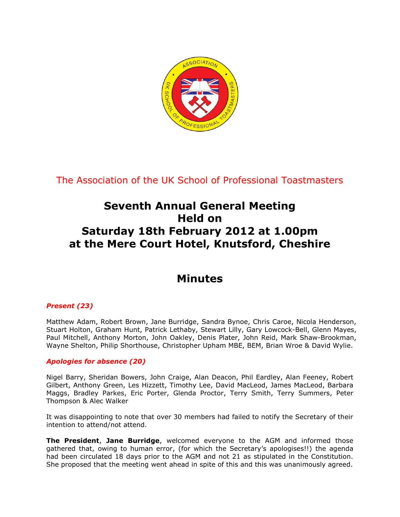

The Association of the UK School of Professional Toastmasters

# **Seventh Annual General Meeting Held on Saturday 18th February 2012 at 1.00pm at the Mere Court Hotel, Knutsford, Cheshire**

# **Minutes**

## *Present (23)*

Matthew Adam, Robert Brown, Jane Burridge, Sandra Bynoe, Chris Caroe, Nicola Henderson, Stuart Holton, Graham Hunt, Patrick Lethaby, Stewart Lilly, Gary Lowcock-Bell, Glenn Mayes, Paul Mitchell, Anthony Morton, John Oakley, Denis Plater, John Reid, Mark Shaw-Brookman, Wayne Shelton, Philip Shorthouse, Christopher Upham MBE, BEM, Brian Wroe & David Wylie.

### *Apologies for absence (20)*

Nigel Barry, Sheridan Bowers, John Craige, Alan Deacon, Phil Eardley, Alan Feeney, Robert Gilbert, Anthony Green, Les Hizzett, Timothy Lee, David MacLeod, James MacLeod, Barbara Maggs, Bradley Parkes, Eric Porter, Glenda Proctor, Terry Smith, Terry Summers, Peter Thompson & Alec Walker

It was disappointing to note that over 30 members had failed to notify the Secretary of their intention to attend/not attend.

**The President**, **Jane Burridge**, welcomed everyone to the AGM and informed those gathered that, owing to human error, (for which the Secretary's apologises!!) the agenda had been circulated 18 days prior to the AGM and not 21 as stipulated in the Constitution. She proposed that the meeting went ahead in spite of this and this was unanimously agreed.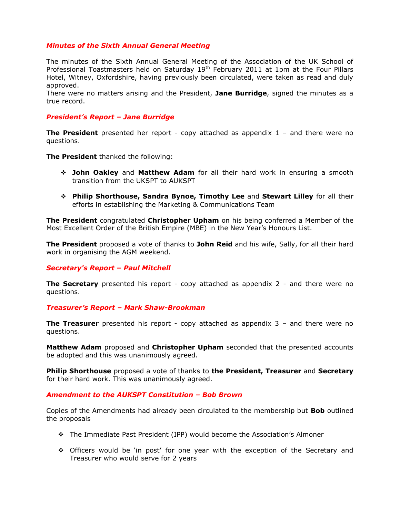#### *Minutes of the Sixth Annual General Meeting*

The minutes of the Sixth Annual General Meeting of the Association of the UK School of Professional Toastmasters held on Saturday  $19<sup>th</sup>$  February 2011 at 1pm at the Four Pillars Hotel, Witney, Oxfordshire, having previously been circulated, were taken as read and duly approved.

There were no matters arising and the President, **Jane Burridge**, signed the minutes as a true record.

#### *President's Report – Jane Burridge*

**The President** presented her report - copy attached as appendix 1 – and there were no questions.

**The President** thanked the following:

- **John Oakley** and **Matthew Adam** for all their hard work in ensuring a smooth transition from the UKSPT to AUKSPT
- **Philip Shorthouse, Sandra Bynoe, Timothy Lee** and **Stewart Lilley** for all their efforts in establishing the Marketing & Communications Team

**The President** congratulated **Christopher Upham** on his being conferred a Member of the Most Excellent Order of the British Empire (MBE) in the New Year's Honours List.

**The President** proposed a vote of thanks to **John Reid** and his wife, Sally, for all their hard work in organising the AGM weekend.

#### *Secretary's Report – Paul Mitchell*

**The Secretary** presented his report - copy attached as appendix 2 - and there were no questions.

#### *Treasurer's Report – Mark Shaw-Brookman*

**The Treasurer** presented his report - copy attached as appendix 3 – and there were no questions.

**Matthew Adam** proposed and **Christopher Upham** seconded that the presented accounts be adopted and this was unanimously agreed.

**Philip Shorthouse** proposed a vote of thanks to **the President, Treasurer** and **Secretary** for their hard work. This was unanimously agreed.

#### *Amendment to the AUKSPT Constitution – Bob Brown*

Copies of the Amendments had already been circulated to the membership but **Bob** outlined the proposals

- The Immediate Past President (IPP) would become the Association's Almoner
- Officers would be 'in post' for one year with the exception of the Secretary and Treasurer who would serve for 2 years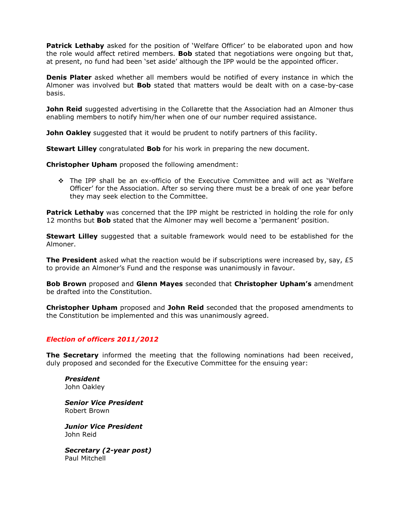**Patrick Lethaby** asked for the position of 'Welfare Officer' to be elaborated upon and how the role would affect retired members. **Bob** stated that negotiations were ongoing but that, at present, no fund had been 'set aside' although the IPP would be the appointed officer.

**Denis Plater** asked whether all members would be notified of every instance in which the Almoner was involved but **Bob** stated that matters would be dealt with on a case-by-case basis.

**John Reid** suggested advertising in the Collarette that the Association had an Almoner thus enabling members to notify him/her when one of our number required assistance.

**John Oakley** suggested that it would be prudent to notify partners of this facility.

**Stewart Lilley** congratulated **Bob** for his work in preparing the new document.

**Christopher Upham** proposed the following amendment:

 The IPP shall be an ex-officio of the Executive Committee and will act as 'Welfare Officer' for the Association. After so serving there must be a break of one year before they may seek election to the Committee.

**Patrick Lethaby** was concerned that the IPP might be restricted in holding the role for only 12 months but **Bob** stated that the Almoner may well become a 'permanent' position.

**Stewart Lilley** suggested that a suitable framework would need to be established for the Almoner.

**The President** asked what the reaction would be if subscriptions were increased by, say, £5 to provide an Almoner's Fund and the response was unanimously in favour.

**Bob Brown** proposed and **Glenn Mayes** seconded that **Christopher Upham's** amendment be drafted into the Constitution.

**Christopher Upham** proposed and **John Reid** seconded that the proposed amendments to the Constitution be implemented and this was unanimously agreed.

### *Election of officers 2011/2012*

**The Secretary** informed the meeting that the following nominations had been received, duly proposed and seconded for the Executive Committee for the ensuing year:

*President* John Oakley

*Senior Vice President* Robert Brown

*Junior Vice President* John Reid

*Secretary (2-year post)* Paul Mitchell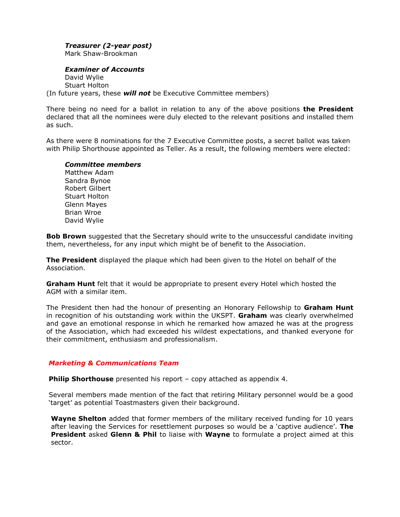### *Treasurer (2-year post)*

Mark Shaw-Brookman

#### *Examiner of Accounts*

David Wylie Stuart Holton (In future years, these *will not* be Executive Committee members)

There being no need for a ballot in relation to any of the above positions **the President** declared that all the nominees were duly elected to the relevant positions and installed them as such.

As there were 8 nominations for the 7 Executive Committee posts, a secret ballot was taken with Philip Shorthouse appointed as Teller. As a result, the following members were elected:

#### *Committee members*

Matthew Adam Sandra Bynoe Robert Gilbert Stuart Holton Glenn Mayes Brian Wroe David Wylie

**Bob Brown** suggested that the Secretary should write to the unsuccessful candidate inviting them, nevertheless, for any input which might be of benefit to the Association.

**The President** displayed the plaque which had been given to the Hotel on behalf of the Association.

**Graham Hunt** felt that it would be appropriate to present every Hotel which hosted the AGM with a similar item.

The President then had the honour of presenting an Honorary Fellowship to **Graham Hunt** in recognition of his outstanding work within the UKSPT. **Graham** was clearly overwhelmed and gave an emotional response in which he remarked how amazed he was at the progress of the Association, which had exceeded his wildest expectations, and thanked everyone for their commitment, enthusiasm and professionalism.

### *Marketing & Communications Team*

**Philip Shorthouse** presented his report – copy attached as appendix 4.

Several members made mention of the fact that retiring Military personnel would be a good 'target' as potential Toastmasters given their background.

**Wayne Shelton** added that former members of the military received funding for 10 years after leaving the Services for resettlement purposes so would be a 'captive audience'. **The President** asked **Glenn & Phil** to liaise with **Wayne** to formulate a project aimed at this sector.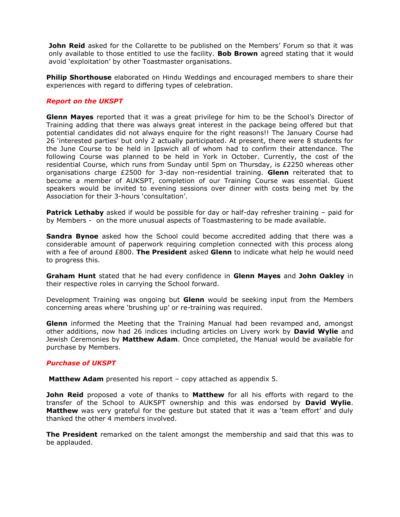**John Reid** asked for the Collarette to be published on the Members' Forum so that it was only available to those entitled to use the facility. **Bob Brown** agreed stating that it would avoid 'exploitation' by other Toastmaster organisations.

**Philip Shorthouse** elaborated on Hindu Weddings and encouraged members to share their experiences with regard to differing types of celebration.

#### *Report on the UKSPT*

**Glenn Mayes** reported that it was a great privilege for him to be the School's Director of Training adding that there was always great interest in the package being offered but that potential candidates did not always enquire for the right reasons!! The January Course had 26 'interested parties' but only 2 actually participated. At present, there were 8 students for the June Course to be held in Ipswich all of whom had to confirm their attendance. The following Course was planned to be held in York in October. Currently, the cost of the residential Course, which runs from Sunday until 5pm on Thursday, is £2250 whereas other organisations charge £2500 for 3-day non-residential training. **Glenn** reiterated that to become a member of AUKSPT, completion of our Training Course was essential. Guest speakers would be invited to evening sessions over dinner with costs being met by the Association for their 3-hours 'consultation'.

**Patrick Lethaby** asked if would be possible for day or half-day refresher training - paid for by Members - on the more unusual aspects of Toastmastering to be made available.

**Sandra Bynoe** asked how the School could become accredited adding that there was a considerable amount of paperwork requiring completion connected with this process along with a fee of around £800. **The President** asked **Glenn** to indicate what help he would need to progress this.

**Graham Hunt** stated that he had every confidence in **Glenn Mayes** and **John Oakley** in their respective roles in carrying the School forward.

Development Training was ongoing but **Glenn** would be seeking input from the Members concerning areas where 'brushing up' or re-training was required.

**Glenn** informed the Meeting that the Training Manual had been revamped and, amongst other additions, now had 26 indices including articles on Livery work by **David Wylie** and Jewish Ceremonies by **Matthew Adam**. Once completed, the Manual would be available for purchase by Members.

#### *Purchase of UKSPT*

**Matthew Adam** presented his report – copy attached as appendix 5.

**John Reid** proposed a vote of thanks to **Matthew** for all his efforts with regard to the transfer of the School to AUKSPT ownership and this was endorsed by **David Wylie**. **Matthew** was very grateful for the gesture but stated that it was a 'team effort' and duly thanked the other 4 members involved.

**The President** remarked on the talent amongst the membership and said that this was to be applauded.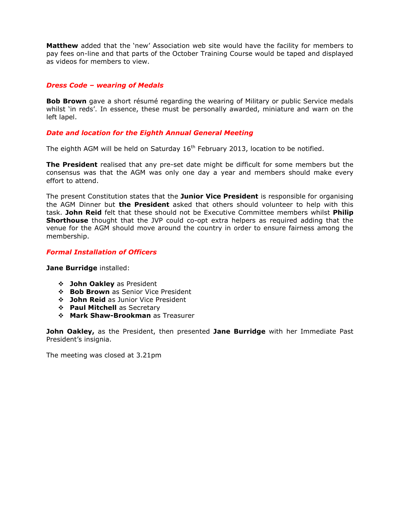**Matthew** added that the 'new' Association web site would have the facility for members to pay fees on-line and that parts of the October Training Course would be taped and displayed as videos for members to view.

#### *Dress Code – wearing of Medals*

**Bob Brown** gave a short résumé regarding the wearing of Military or public Service medals whilst 'in reds'. In essence, these must be personally awarded, miniature and warn on the left lapel.

### *Date and location for the Eighth Annual General Meeting*

The eighth AGM will be held on Saturday  $16<sup>th</sup>$  February 2013, location to be notified.

**The President** realised that any pre-set date might be difficult for some members but the consensus was that the AGM was only one day a year and members should make every effort to attend.

The present Constitution states that the **Junior Vice President** is responsible for organising the AGM Dinner but **the President** asked that others should volunteer to help with this task. **John Reid** felt that these should not be Executive Committee members whilst **Philip Shorthouse** thought that the JVP could co-opt extra helpers as required adding that the venue for the AGM should move around the country in order to ensure fairness among the membership.

#### *Formal Installation of Officers*

**Jane Burridge** installed:

- **John Oakley** as President
- **Bob Brown** as Senior Vice President
- **John Reid** as Junior Vice President
- **Paul Mitchell** as Secretary
- **Mark Shaw-Brookman** as Treasurer

**John Oakley,** as the President, then presented **Jane Burridge** with her Immediate Past President's insignia.

The meeting was closed at 3.21pm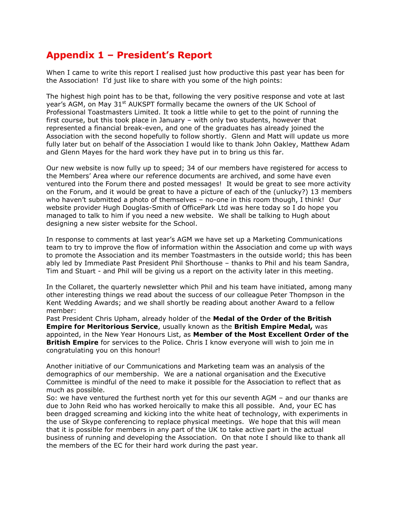# **Appendix 1 – President's Report**

When I came to write this report I realised just how productive this past year has been for the Association! I'd just like to share with you some of the high points:

The highest high point has to be that, following the very positive response and vote at last year's AGM, on May 31<sup>st</sup> AUKSPT formally became the owners of the UK School of Professional Toastmasters Limited. It took a little while to get to the point of running the first course, but this took place in January – with only two students, however that represented a financial break-even, and one of the graduates has already joined the Association with the second hopefully to follow shortly. Glenn and Matt will update us more fully later but on behalf of the Association I would like to thank John Oakley, Matthew Adam and Glenn Mayes for the hard work they have put in to bring us this far.

Our new website is now fully up to speed; 34 of our members have registered for access to the Members' Area where our reference documents are archived, and some have even ventured into the Forum there and posted messages! It would be great to see more activity on the Forum, and it would be great to have a picture of each of the (unlucky?) 13 members who haven't submitted a photo of themselves – no-one in this room though, I think! Our website provider Hugh Douglas-Smith of OfficePark Ltd was here today so I do hope you managed to talk to him if you need a new website. We shall be talking to Hugh about designing a new sister website for the School.

In response to comments at last year's AGM we have set up a Marketing Communications team to try to improve the flow of information within the Association and come up with ways to promote the Association and its member Toastmasters in the outside world; this has been ably led by Immediate Past President Phil Shorthouse – thanks to Phil and his team Sandra, Tim and Stuart - and Phil will be giving us a report on the activity later in this meeting.

In the Collaret, the quarterly newsletter which Phil and his team have initiated, among many other interesting things we read about the success of our colleague Peter Thompson in the Kent Wedding Awards; and we shall shortly be reading about another Award to a fellow member:

Past President Chris Upham, already holder of the **Medal of the Order of the British Empire for Meritorious Service**, usually known as the **British Empire Medal,** was appointed, in the New Year Honours List, as **Member of the Most Excellent Order of the British Empire** for services to the Police. Chris I know everyone will wish to join me in congratulating you on this honour!

Another initiative of our Communications and Marketing team was an analysis of the demographics of our membership. We are a national organisation and the Executive Committee is mindful of the need to make it possible for the Association to reflect that as much as possible.

So: we have ventured the furthest north yet for this our seventh AGM – and our thanks are due to John Reid who has worked heroically to make this all possible. And, your EC has been dragged screaming and kicking into the white heat of technology, with experiments in the use of Skype conferencing to replace physical meetings. We hope that this will mean that it is possible for members in any part of the UK to take active part in the actual business of running and developing the Association. On that note I should like to thank all the members of the EC for their hard work during the past year.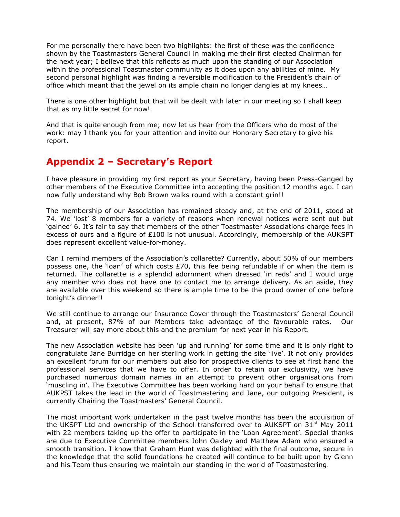For me personally there have been two highlights: the first of these was the confidence shown by the Toastmasters General Council in making me their first elected Chairman for the next year; I believe that this reflects as much upon the standing of our Association within the professional Toastmaster community as it does upon any abilities of mine. My second personal highlight was finding a reversible modification to the President's chain of office which meant that the jewel on its ample chain no longer dangles at my knees…

There is one other highlight but that will be dealt with later in our meeting so I shall keep that as my little secret for now!

And that is quite enough from me; now let us hear from the Officers who do most of the work: may I thank you for your attention and invite our Honorary Secretary to give his report.

# **Appendix 2 – Secretary's Report**

I have pleasure in providing my first report as your Secretary, having been Press-Ganged by other members of the Executive Committee into accepting the position 12 months ago. I can now fully understand why Bob Brown walks round with a constant grin!!

The membership of our Association has remained steady and, at the end of 2011, stood at 74. We 'lost' 8 members for a variety of reasons when renewal notices were sent out but 'gained' 6. It's fair to say that members of the other Toastmaster Associations charge fees in excess of ours and a figure of  $£100$  is not unusual. Accordingly, membership of the AUKSPT does represent excellent value-for-money.

Can I remind members of the Association's collarette? Currently, about 50% of our members possess one, the 'loan' of which costs  $E70$ , this fee being refundable if or when the item is returned. The collarette is a splendid adornment when dressed 'in reds' and I would urge any member who does not have one to contact me to arrange delivery. As an aside, they are available over this weekend so there is ample time to be the proud owner of one before tonight's dinner!!

We still continue to arrange our Insurance Cover through the Toastmasters' General Council and, at present, 87% of our Members take advantage of the favourable rates. Our Treasurer will say more about this and the premium for next year in his Report.

The new Association website has been 'up and running' for some time and it is only right to congratulate Jane Burridge on her sterling work in getting the site 'live'. It not only provides an excellent forum for our members but also for prospective clients to see at first hand the professional services that we have to offer. In order to retain our exclusivity, we have purchased numerous domain names in an attempt to prevent other organisations from 'muscling in'. The Executive Committee has been working hard on your behalf to ensure that AUKPST takes the lead in the world of Toastmastering and Jane, our outgoing President, is currently Chairing the Toastmasters' General Council.

The most important work undertaken in the past twelve months has been the acquisition of the UKSPT Ltd and ownership of the School transferred over to AUKSPT on  $31^{st}$  May 2011 with 22 members taking up the offer to participate in the 'Loan Agreement'. Special thanks are due to Executive Committee members John Oakley and Matthew Adam who ensured a smooth transition. I know that Graham Hunt was delighted with the final outcome, secure in the knowledge that the solid foundations he created will continue to be built upon by Glenn and his Team thus ensuring we maintain our standing in the world of Toastmastering.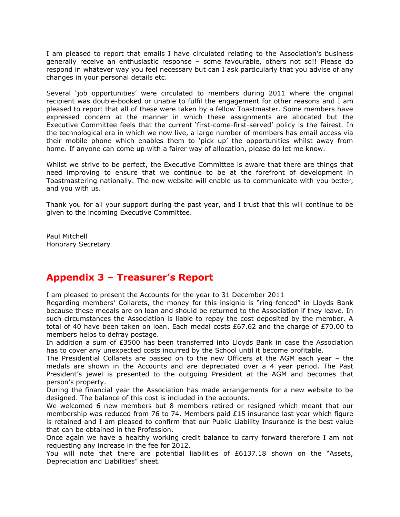I am pleased to report that emails I have circulated relating to the Association's business generally receive an enthusiastic response – some favourable, others not so!! Please do respond in whatever way you feel necessary but can I ask particularly that you advise of any changes in your personal details etc.

Several 'job opportunities' were circulated to members during 2011 where the original recipient was double-booked or unable to fulfil the engagement for other reasons and I am pleased to report that all of these were taken by a fellow Toastmaster. Some members have expressed concern at the manner in which these assignments are allocated but the Executive Committee feels that the current 'first-come-first-served' policy is the fairest. In the technological era in which we now live, a large number of members has email access via their mobile phone which enables them to 'pick up' the opportunities whilst away from home. If anyone can come up with a fairer way of allocation, please do let me know.

Whilst we strive to be perfect, the Executive Committee is aware that there are things that need improving to ensure that we continue to be at the forefront of development in Toastmastering nationally. The new website will enable us to communicate with you better, and you with us.

Thank you for all your support during the past year, and I trust that this will continue to be given to the incoming Executive Committee.

Paul Mitchell Honorary Secretary

# **Appendix 3 – Treasurer's Report**

I am pleased to present the Accounts for the year to 31 December 2011

Regarding members' Collarets, the money for this insignia is "ring-fenced" in Lloyds Bank because these medals are on loan and should be returned to the Association if they leave. In such circumstances the Association is liable to repay the cost deposited by the member. A total of 40 have been taken on loan. Each medal costs £67.62 and the charge of £70.00 to members helps to defray postage.

In addition a sum of £3500 has been transferred into Lloyds Bank in case the Association has to cover any unexpected costs incurred by the School until it become profitable.

The Presidential Collarets are passed on to the new Officers at the AGM each year – the medals are shown in the Accounts and are depreciated over a 4 year period. The Past President's jewel is presented to the outgoing President at the AGM and becomes that person's property.

During the financial year the Association has made arrangements for a new website to be designed. The balance of this cost is included in the accounts.

We welcomed 6 new members but 8 members retired or resigned which meant that our membership was reduced from 76 to 74. Members paid £15 insurance last year which figure is retained and I am pleased to confirm that our Public Liability Insurance is the best value that can be obtained in the Profession.

Once again we have a healthy working credit balance to carry forward therefore I am not requesting any increase in the fee for 2012.

You will note that there are potential liabilities of £6137.18 shown on the "Assets, Depreciation and Liabilities" sheet.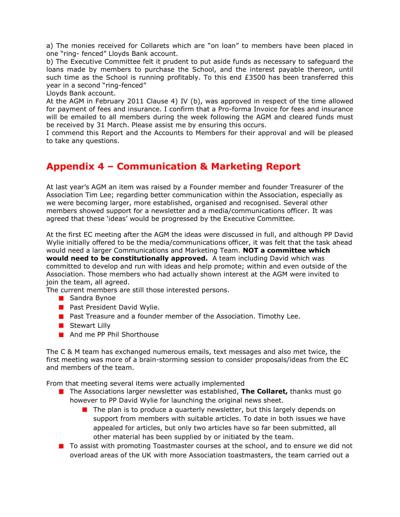a) The monies received for Collarets which are "on loan" to members have been placed in one "ring- fenced" Lloyds Bank account.

b) The Executive Committee felt it prudent to put aside funds as necessary to safeguard the loans made by members to purchase the School, and the interest payable thereon, until such time as the School is running profitably. To this end  $£3500$  has been transferred this year in a second "ring-fenced"

Lloyds Bank account.

At the AGM in February 2011 Clause 4) IV (b), was approved in respect of the time allowed for payment of fees and insurance. I confirm that a Pro-forma Invoice for fees and insurance will be emailed to all members during the week following the AGM and cleared funds must be received by 31 March. Please assist me by ensuring this occurs.

I commend this Report and the Accounts to Members for their approval and will be pleased to take any questions.

# **Appendix 4 – Communication & Marketing Report**

At last year's AGM an item was raised by a Founder member and founder Treasurer of the Association Tim Lee; regarding better communication within the Association, especially as we were becoming larger, more established, organised and recognised. Several other members showed support for a newsletter and a media/communications officer. It was agreed that these 'ideas' would be progressed by the Executive Committee.

At the first EC meeting after the AGM the ideas were discussed in full, and although PP David Wylie initially offered to be the media/communications officer, it was felt that the task ahead would need a larger Communications and Marketing Team. **NOT a committee which would need to be constitutionally approved.** A team including David which was committed to develop and run with ideas and help promote; within and even outside of the Association. Those members who had actually shown interest at the AGM were invited to join the team, all agreed.

The current members are still those interested persons.

- **Sandra Bynoe**
- **Past President David Wylie.**
- **Past Treasure and a founder member of the Association. Timothy Lee.**
- **Stewart Lilly**
- And me PP Phil Shorthouse

The C & M team has exchanged numerous emails, text messages and also met twice, the first meeting was more of a brain-storming session to consider proposals/ideas from the EC and members of the team.

From that meeting several items were actually implemented

- **T** The Associations larger newsletter was established, **The Collaret,** thanks must go however to PP David Wylie for launching the original news sheet.
	- $\blacksquare$  The plan is to produce a quarterly newsletter, but this largely depends on support from members with suitable articles. To date in both issues we have appealed for articles, but only two articles have so far been submitted, all other material has been supplied by or initiated by the team.
- **T** To assist with promoting Toastmaster courses at the school, and to ensure we did not overload areas of the UK with more Association toastmasters, the team carried out a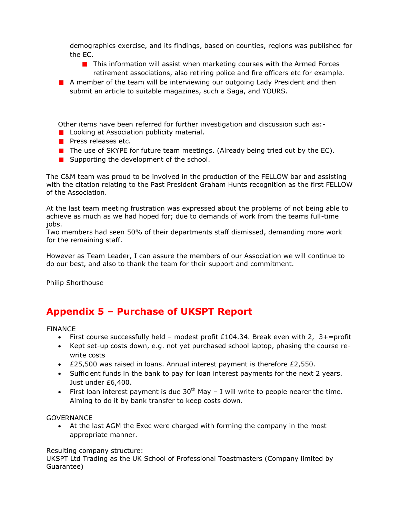demographics exercise, and its findings, based on counties, regions was published for the EC.

- $\blacksquare$  This information will assist when marketing courses with the Armed Forces retirement associations, also retiring police and fire officers etc for example.
- **A** member of the team will be interviewing our outgoing Lady President and then submit an article to suitable magazines, such a Saga, and YOURS.

Other items have been referred for further investigation and discussion such as:-

- **L** Looking at Association publicity material.
- **Press releases etc.**
- $\blacksquare$  The use of SKYPE for future team meetings. (Already being tried out by the EC).
- $\blacksquare$  Supporting the development of the school.

The C&M team was proud to be involved in the production of the FELLOW bar and assisting with the citation relating to the Past President Graham Hunts recognition as the first FELLOW of the Association.

At the last team meeting frustration was expressed about the problems of not being able to achieve as much as we had hoped for; due to demands of work from the teams full-time jobs.

Two members had seen 50% of their departments staff dismissed, demanding more work for the remaining staff.

However as Team Leader, I can assure the members of our Association we will continue to do our best, and also to thank the team for their support and commitment.

Philip Shorthouse

# **Appendix 5 – Purchase of UKSPT Report**

### FINANCE

- First course successfully held modest profit  $£104.34$ . Break even with  $2, 3+=$ profit
- Kept set-up costs down, e.g. not yet purchased school laptop, phasing the course rewrite costs
- £25,500 was raised in loans. Annual interest payment is therefore £2,550.
- Sufficient funds in the bank to pay for loan interest payments for the next 2 years. Just under £6,400.
- First loan interest payment is due  $30<sup>th</sup>$  May I will write to people nearer the time. Aiming to do it by bank transfer to keep costs down.

### **GOVERNANCE**

 At the last AGM the Exec were charged with forming the company in the most appropriate manner.

### Resulting company structure:

UKSPT Ltd Trading as the UK School of Professional Toastmasters (Company limited by Guarantee)